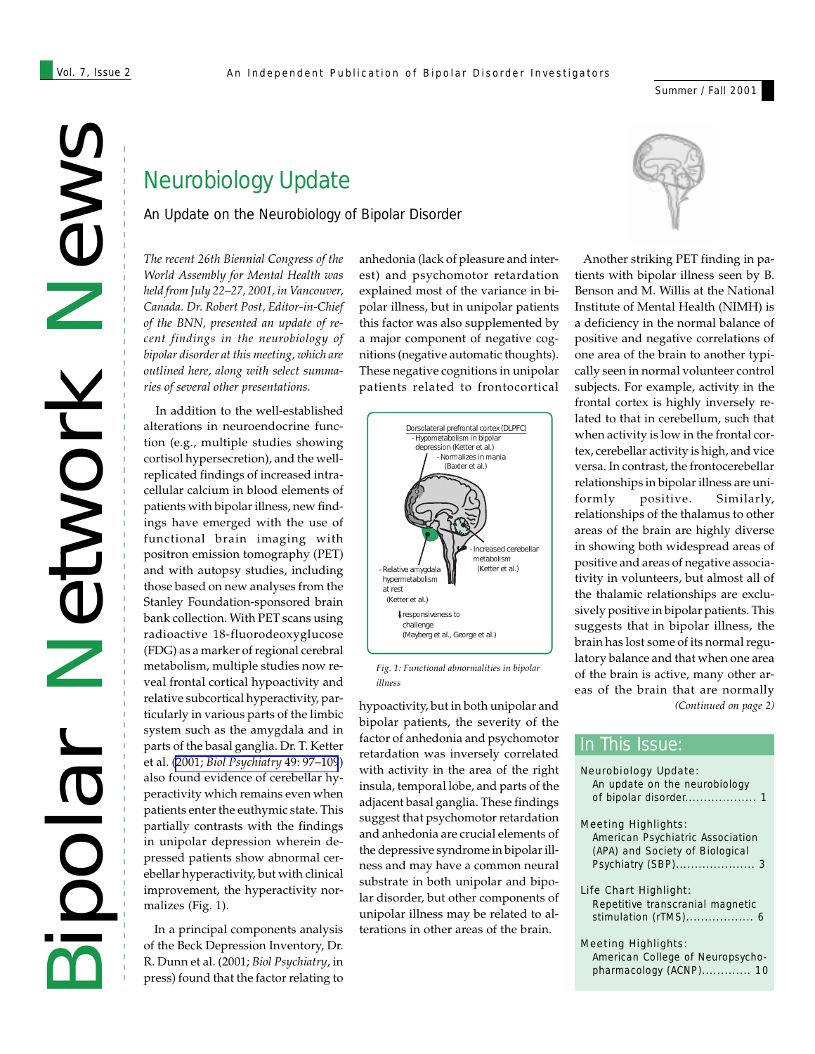Summer / Fall 2001

# News Network Network Bipolar

# Neurobiology Update

An Update on the Neurobiology of Bipolar Disorder

*The recent 26th Biennial Congress of the World Assembly for Mental Health was held from July 22–27, 2001, in Vancouver, Canada. Dr. Robert Post, Editor-in-Chief of the BNN, presented an update of recent findings in the neurobiology of bipolar disorder at this meeting, which are outlined here, along with select summaries of several other presentations.*

 In addition to the well-established alterations in neuroendocrine function (e.g., multiple studies showing cortisol hypersecretion), and the wellreplicated findings of increased intracellular calcium in blood elements of patients with bipolar illness, new findings have emerged with the use of functional brain imaging with positron emission tomography (PET) and with autopsy studies, including those based on new analyses from the Stanley Foundation-sponsored brain bank collection. With PET scans using radioactive 18-fluorodeoxyglucose (FDG) as a marker of regional cerebral metabolism, multiple studies now reveal frontal cortical hypoactivity and relative subcortical hyperactivity, particularly in various parts of the limbic system such as the amygdala and in parts of the basal ganglia. Dr. T. Ketter et al. (2001; *[Biol Psychiatry](http://www.ncbi.nlm.nih.gov/entrez/query.fcgi?cmd=Retrieve&db=PubMed&list_uids=11164756&dopt=Abstract)* 49: 97–109) also found evidence of cerebellar hyperactivity which remains even when patients enter the euthymic state. This partially contrasts with the findings in unipolar depression wherein depressed patients show abnormal cerebellar hyperactivity, but with clinical improvement, the hyperactivity normalizes (Fig. 1).

 In a principal components analysis of the Beck Depression Inventory, Dr. R. Dunn et al. (2001; *Biol Psychiatry*, in press) found that the factor relating to

anhedonia (lack of pleasure and interest) and psychomotor retardation explained most of the variance in bipolar illness, but in unipolar patients this factor was also supplemented by a major component of negative cognitions (negative automatic thoughts). These negative cognitions in unipolar patients related to frontocortical



*Fig. 1: Functional abnormalities in bipolar illness*

hypoactivity, but in both unipolar and bipolar patients, the severity of the factor of anhedonia and psychomotor retardation was inversely correlated with activity in the area of the right insula, temporal lobe, and parts of the adjacent basal ganglia. These findings suggest that psychomotor retardation and anhedonia are crucial elements of the depressive syndrome in bipolar illness and may have a common neural substrate in both unipolar and bipolar disorder, but other components of unipolar illness may be related to alterations in other areas of the brain.



*(Continued on page 2)* Another striking PET finding in patients with bipolar illness seen by B. Benson and M. Willis at the National Institute of Mental Health (NIMH) is a deficiency in the normal balance of positive and negative correlations of one area of the brain to another typically seen in normal volunteer control subjects. For example, activity in the frontal cortex is highly inversely related to that in cerebellum, such that when activity is low in the frontal cortex, cerebellar activity is high, and vice versa. In contrast, the frontocerebellar relationships in bipolar illness are uniformly positive. Similarly, relationships of the thalamus to other areas of the brain are highly diverse in showing both widespread areas of positive and areas of negative associativity in volunteers, but almost all of the thalamic relationships are exclusively positive in bipolar patients. This suggests that in bipolar illness, the brain has lost some of its normal regulatory balance and that when one area of the brain is active, many other areas of the brain that are normally

### Neurobiology Update: *An update on the neurobiology of bipolar disorder................... 1* Meeting Highlights: *American Psychiatric Association (APA) and Society of Biological Psychiatry (SBP)..................... 3* Life Chart Highlight: *Repetitive transcranial magnetic stimulation (rTMS).................. 6* Meeting Highlights: In This Issue:

*American College of Neuropsychopharmacology (ACNP)............. 10*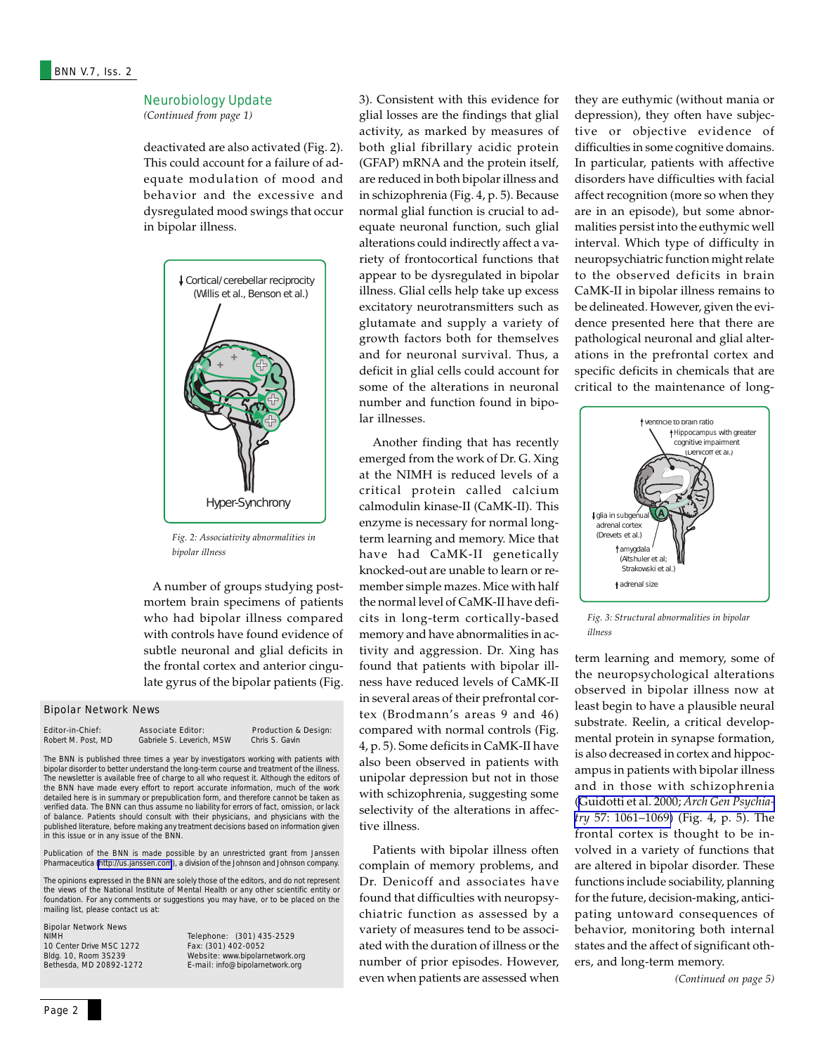### Neurobiology Update

*(Continued from page 1)*

deactivated are also activated (Fig. 2). This could account for a failure of adequate modulation of mood and behavior and the excessive and dysregulated mood swings that occur in bipolar illness.



*Fig. 2: Associativity abnormalities in bipolar illness*

 A number of groups studying postmortem brain specimens of patients who had bipolar illness compared with controls have found evidence of subtle neuronal and glial deficits in the frontal cortex and anterior cingulate gyrus of the bipolar patients (Fig.

### Bipolar Network News

| <b>Editor-in-Chief:</b> | <b>Associate Editor:</b> |
|-------------------------|--------------------------|
| Robert M. Post. MD      | Gabriele S. Leverich.    |

**Example 15 Production & Design:**<br>MSW Chris S. Gavin Chris S. Gavin

The *BNN* is published three times a year by investigators working with patients with bipolar disorder to better understand the long-term course and treatment of the illness. The newsletter is available free of charge to all who request it. Although the editors of the *BNN* have made every effort to report accurate information, much of the work detailed here is in summary or prepublication form, and therefore cannot be taken as verified data. The *BNN* can thus assume no liability for errors of fact, omission, or lack of balance. Patients should consult with their physicians, and physicians with the published literature, before making any treatment decisions based on information given in this issue or in any issue of the *BNN*.

Publication of the *BNN* is made possible by an unrestricted grant from Janssen Pharmaceutica [\(http://us.janssen.com](http://us.janssen.com/)), a division of the Johnson and Johnson company.

The opinions expressed in the *BNN* are solely those of the editors, and do not represent the views of the National Institute of Mental Health or any other scientific entity or foundation. For any comments or suggestions you may have, or to be placed on the mailing list, please contact us at:

### **Bipolar Network News**<br>NIMH

10 Center Drive MSC 1272<br>Bldg. 10, Room 3S239

Telephone: (301) 435-2529<br>Fax: (301) 402-0052 Bldg. 10, Room 3S239 **Website:** www.bipolarnetwork.org<br>Bethesda, MD 20892-1272 **E-mail:** info@bipolarnetwork.org E-mail: info@bipolarnetwork.org

3). Consistent with this evidence for glial losses are the findings that glial activity, as marked by measures of both glial fibrillary acidic protein (GFAP) mRNA and the protein itself, are reduced in both bipolar illness and in schizophrenia (Fig. 4, p. 5). Because normal glial function is crucial to adequate neuronal function, such glial alterations could indirectly affect a variety of frontocortical functions that appear to be dysregulated in bipolar illness. Glial cells help take up excess excitatory neurotransmitters such as glutamate and supply a variety of growth factors both for themselves and for neuronal survival. Thus, a deficit in glial cells could account for some of the alterations in neuronal number and function found in bipolar illnesses.

 Another finding that has recently emerged from the work of Dr. G. Xing at the NIMH is reduced levels of a critical protein called calcium calmodulin kinase-II (CaMK-II). This enzyme is necessary for normal longterm learning and memory. Mice that have had CaMK-II genetically knocked-out are unable to learn or remember simple mazes. Mice with half the normal level of CaMK-II have deficits in long-term cortically-based memory and have abnormalities in activity and aggression. Dr. Xing has found that patients with bipolar illness have reduced levels of CaMK-II in several areas of their prefrontal cortex (Brodmann's areas 9 and 46) compared with normal controls (Fig. 4, p. 5). Some deficits in CaMK-II have also been observed in patients with unipolar depression but not in those with schizophrenia, suggesting some selectivity of the alterations in affective illness.

 Patients with bipolar illness often complain of memory problems, and Dr. Denicoff and associates have found that difficulties with neuropsychiatric function as assessed by a variety of measures tend to be associated with the duration of illness or the number of prior episodes. However, even when patients are assessed when they are euthymic (without mania or depression), they often have subjective or objective evidence of difficulties in some cognitive domains. In particular, patients with affective disorders have difficulties with facial affect recognition (more so when they are in an episode), but some abnormalities persist into the euthymic well interval. Which type of difficulty in neuropsychiatric function might relate to the observed deficits in brain CaMK-II in bipolar illness remains to be delineated. However, given the evidence presented here that there are pathological neuronal and glial alterations in the prefrontal cortex and specific deficits in chemicals that are critical to the maintenance of long-



*Fig. 3: Structural abnormalities in bipolar illness*

term learning and memory, some of the neuropsychological alterations observed in bipolar illness now at least begin to have a plausible neural substrate. Reelin, a critical developmental protein in synapse formation, is also decreased in cortex and hippocampus in patients with bipolar illness and in those with schizophrenia ([Guidotti et al. 2000;](http://www.ncbi.nlm.nih.gov/entrez/query.fcgi?cmd=Retrieve&db=PubMed&list_uids=11074872&dopt=Abstract) *Arch Gen Psychiatry* [57: 1061–1069\)](http://www.ncbi.nlm.nih.gov/entrez/query.fcgi?cmd=Retrieve&db=PubMed&list_uids=11074872&dopt=Abstract) (Fig. 4, p. 5). The frontal cortex is thought to be involved in a variety of functions that are altered in bipolar disorder. These functions include sociability, planning for the future, decision-making, anticipating untoward consequences of behavior, monitoring both internal states and the affect of significant others, and long-term memory.

*(Continued on page 5)*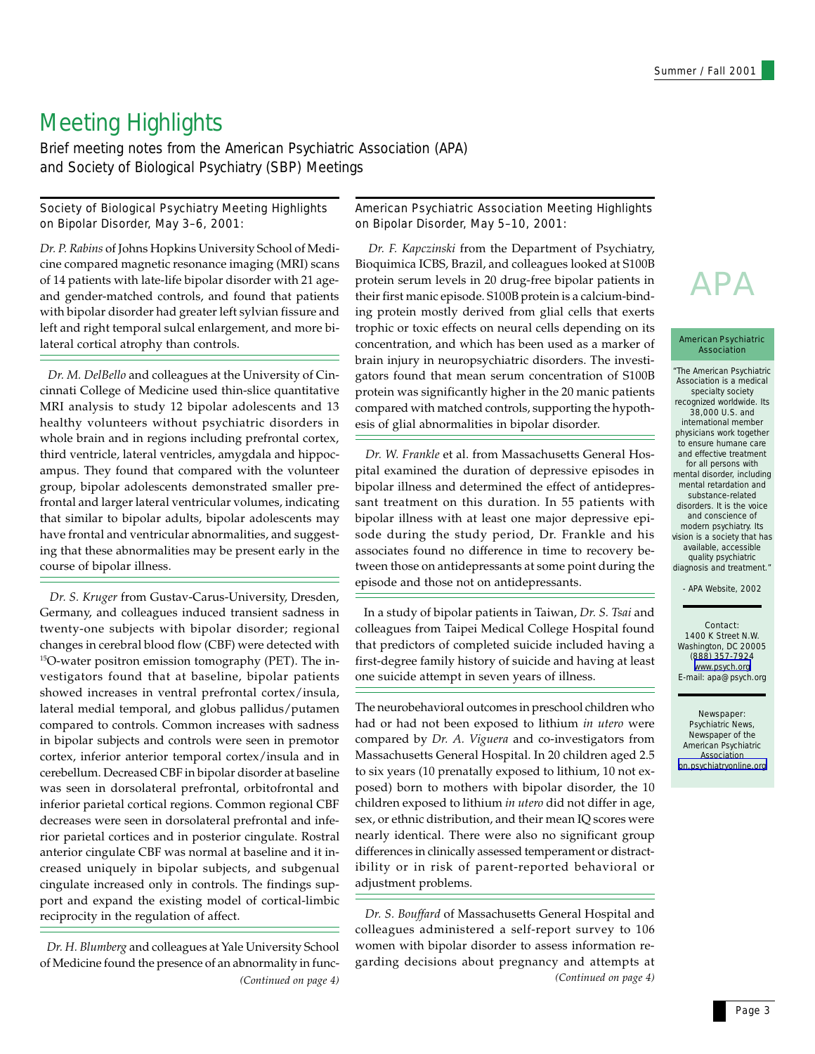# Meeting Highlights

Brief meeting notes from the American Psychiatric Association (APA) and Society of Biological Psychiatry (SBP) Meetings

### Society of Biological Psychiatry Meeting Highlights on Bipolar Disorder, May 3–6, 2001:

*Dr. P. Rabins* of Johns Hopkins University School of Medicine compared magnetic resonance imaging (MRI) scans of 14 patients with late-life bipolar disorder with 21 ageand gender-matched controls, and found that patients with bipolar disorder had greater left sylvian fissure and left and right temporal sulcal enlargement, and more bilateral cortical atrophy than controls.

 *Dr. M. DelBello* and colleagues at the University of Cincinnati College of Medicine used thin-slice quantitative MRI analysis to study 12 bipolar adolescents and 13 healthy volunteers without psychiatric disorders in whole brain and in regions including prefrontal cortex, third ventricle, lateral ventricles, amygdala and hippocampus. They found that compared with the volunteer group, bipolar adolescents demonstrated smaller prefrontal and larger lateral ventricular volumes, indicating that similar to bipolar adults, bipolar adolescents may have frontal and ventricular abnormalities, and suggesting that these abnormalities may be present early in the course of bipolar illness.

 *Dr. S. Kruger* from Gustav-Carus-University, Dresden, Germany, and colleagues induced transient sadness in twenty-one subjects with bipolar disorder; regional changes in cerebral blood flow (CBF) were detected with 15O-water positron emission tomography (PET). The investigators found that at baseline, bipolar patients showed increases in ventral prefrontal cortex/insula, lateral medial temporal, and globus pallidus/putamen compared to controls. Common increases with sadness in bipolar subjects and controls were seen in premotor cortex, inferior anterior temporal cortex/insula and in cerebellum. Decreased CBF in bipolar disorder at baseline was seen in dorsolateral prefrontal, orbitofrontal and inferior parietal cortical regions. Common regional CBF decreases were seen in dorsolateral prefrontal and inferior parietal cortices and in posterior cingulate. Rostral anterior cingulate CBF was normal at baseline and it increased uniquely in bipolar subjects, and subgenual cingulate increased only in controls. The findings support and expand the existing model of cortical-limbic reciprocity in the regulation of affect.

*Dr. H. Blumberg* and colleagues at Yale University School of Medicine found the presence of an abnormality in func-*(Continued on page 4)*

### American Psychiatric Association Meeting Highlights on Bipolar Disorder, May 5–10, 2001:

*Dr. F. Kapczinski* from the Department of Psychiatry, Bioquimica ICBS, Brazil, and colleagues looked at S100B protein serum levels in 20 drug-free bipolar patients in their first manic episode. S100B protein is a calcium-binding protein mostly derived from glial cells that exerts trophic or toxic effects on neural cells depending on its concentration, and which has been used as a marker of brain injury in neuropsychiatric disorders. The investigators found that mean serum concentration of S100B protein was significantly higher in the 20 manic patients compared with matched controls, supporting the hypothesis of glial abnormalities in bipolar disorder.

 *Dr. W. Frankle* et al. from Massachusetts General Hospital examined the duration of depressive episodes in bipolar illness and determined the effect of antidepressant treatment on this duration. In 55 patients with bipolar illness with at least one major depressive episode during the study period, Dr. Frankle and his associates found no difference in time to recovery between those on antidepressants at some point during the episode and those not on antidepressants.

 In a study of bipolar patients in Taiwan, *Dr. S. Tsai* and colleagues from Taipei Medical College Hospital found that predictors of completed suicide included having a first-degree family history of suicide and having at least one suicide attempt in seven years of illness.

The neurobehavioral outcomes in preschool children who had or had not been exposed to lithium *in utero* were compared by *Dr. A. Viguera* and co-investigators from Massachusetts General Hospital. In 20 children aged 2.5 to six years (10 prenatally exposed to lithium, 10 not exposed) born to mothers with bipolar disorder, the 10 children exposed to lithium *in utero* did not differ in age, sex, or ethnic distribution, and their mean IQ scores were nearly identical. There were also no significant group differences in clinically assessed temperament or distractibility or in risk of parent-reported behavioral or adjustment problems.

*(Continued on page 4) Dr. S. Bouffard* of Massachusetts General Hospital and colleagues administered a self-report survey to 106 women with bipolar disorder to assess information regarding decisions about pregnancy and attempts at

# APA

### American Psychiatric Association

"The American Psychiatric Association is a medical specialty society recognized worldwide. Its 38,000 U.S. and international member physicians work together to ensure humane care and effective treatment for all persons with mental disorder, including mental retardation and substance-related disorders. It is the voice and conscience of modern psychiatry. Its vision is a society that has available, accessible quality psychiatric diagnosis and treatment."

- APA Website, 2002

### Contact: 1400 K Street N.W. Washington, DC 20005 (888) 357-7924 [www.psych.org](http://www.psych.org/) E-mail: apa@psych.org

### Newspaper:

*Psychiatric News*, Newspaper of the American Psychiatric Association [pn.psychiatryonline.org](http://pn.psychiatryonline.org/)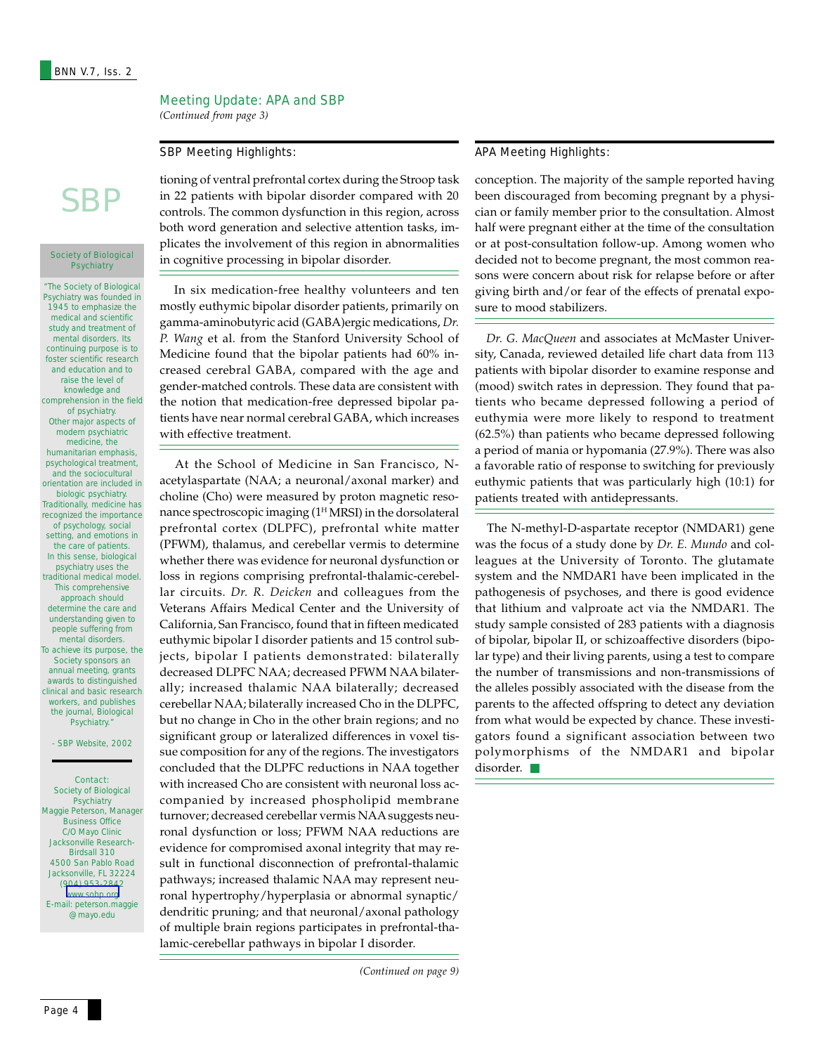### Meeting Update: APA and SBP

*(Continued from page 3)*

# **SBP**

### Society of Biological **Psychiatry**

"The Society of Biological Psychiatry was founded in 1945 to emphasize the medical and scientific study and treatment of mental disorders. Its continuing purpose is to foster scientific research and education and to raise the level of knowledge and comprehension in the field of psychiatry. Other major aspects of modern psychiatric medicine, the humanitarian emphasis, psychological treatment, and the sociocultural orientation are included in biologic psychiatry. Traditionally, medicine has recognized the importance of psychology, social setting, and emotions in the care of patients. In this sense, biological psychiatry uses the traditional medical model. This comprehensive approach should determine the care and understanding given to people suffering from mental disorders. To achieve its purpose, the Society sponsors an annual meeting, grants awards to distinguished clinical and basic research workers, and publishes the journal, Biological Psychiatry.

### - SBP Website, 2002

Contact: Society of Biological **Psychiatry** Maggie Peterson, Manager Business Office C/O Mayo Clinic Jacksonville Research-Birdsall 310 4500 San Pablo Road Jacksonville, FL 32224 (904) 953-2842 [www.sobp.org](http://www.sobp.org/) E-mail: peterson.maggie @mayo.edu

tioning of ventral prefrontal cortex during the Stroop task in 22 patients with bipolar disorder compared with 20 controls. The common dysfunction in this region, across both word generation and selective attention tasks, implicates the involvement of this region in abnormalities in cognitive processing in bipolar disorder.

 In six medication-free healthy volunteers and ten mostly euthymic bipolar disorder patients, primarily on gamma-aminobutyric acid (GABA)ergic medications, *Dr. P. Wang* et al. from the Stanford University School of Medicine found that the bipolar patients had 60% increased cerebral GABA, compared with the age and gender-matched controls. These data are consistent with the notion that medication-free depressed bipolar patients have near normal cerebral GABA, which increases with effective treatment.

At the School of Medicine in San Francisco, Nacetylaspartate (NAA; a neuronal/axonal marker) and choline (Cho) were measured by proton magnetic resonance spectroscopic imaging  $(1<sup>H</sup> MRSI)$  in the dorsolateral prefrontal cortex (DLPFC), prefrontal white matter (PFWM), thalamus, and cerebellar vermis to determine whether there was evidence for neuronal dysfunction or loss in regions comprising prefrontal-thalamic-cerebellar circuits. *Dr. R. Deicken* and colleagues from the Veterans Affairs Medical Center and the University of California, San Francisco, found that in fifteen medicated euthymic bipolar I disorder patients and 15 control subjects, bipolar I patients demonstrated: bilaterally decreased DLPFC NAA; decreased PFWM NAA bilaterally; increased thalamic NAA bilaterally; decreased cerebellar NAA; bilaterally increased Cho in the DLPFC, but no change in Cho in the other brain regions; and no significant group or lateralized differences in voxel tissue composition for any of the regions. The investigators concluded that the DLPFC reductions in NAA together with increased Cho are consistent with neuronal loss accompanied by increased phospholipid membrane turnover; decreased cerebellar vermis NAA suggests neuronal dysfunction or loss; PFWM NAA reductions are evidence for compromised axonal integrity that may result in functional disconnection of prefrontal-thalamic pathways; increased thalamic NAA may represent neuronal hypertrophy/hyperplasia or abnormal synaptic/ dendritic pruning; and that neuronal/axonal pathology of multiple brain regions participates in prefrontal-thalamic-cerebellar pathways in bipolar I disorder.

### SBP Meeting Highlights: APA Meeting Highlights:

conception. The majority of the sample reported having been discouraged from becoming pregnant by a physician or family member prior to the consultation. Almost half were pregnant either at the time of the consultation or at post-consultation follow-up. Among women who decided not to become pregnant, the most common reasons were concern about risk for relapse before or after giving birth and/or fear of the effects of prenatal exposure to mood stabilizers.

 *Dr. G. MacQueen* and associates at McMaster University, Canada, reviewed detailed life chart data from 113 patients with bipolar disorder to examine response and (mood) switch rates in depression. They found that patients who became depressed following a period of euthymia were more likely to respond to treatment (62.5%) than patients who became depressed following a period of mania or hypomania (27.9%). There was also a favorable ratio of response to switching for previously euthymic patients that was particularly high (10:1) for patients treated with antidepressants.

 The N-methyl-D-aspartate receptor (NMDAR1) gene was the focus of a study done by *Dr. E. Mundo* and colleagues at the University of Toronto. The glutamate system and the NMDAR1 have been implicated in the pathogenesis of psychoses, and there is good evidence that lithium and valproate act via the NMDAR1. The study sample consisted of 283 patients with a diagnosis of bipolar, bipolar II, or schizoaffective disorders (bipolar type) and their living parents, using a test to compare the number of transmissions and non-transmissions of the alleles possibly associated with the disease from the parents to the affected offspring to detect any deviation from what would be expected by chance. These investigators found a significant association between two polymorphisms of the NMDAR1 and bipolar disorder. ■

*<sup>(</sup>Continued on page 9)*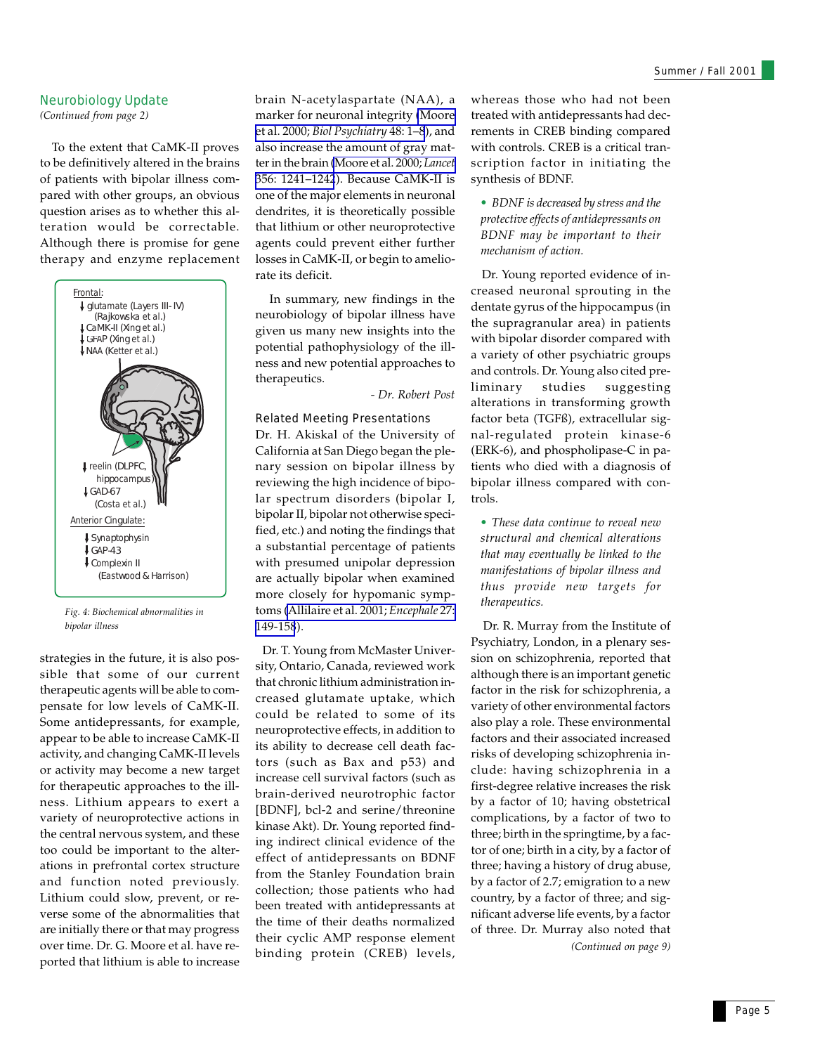### Neurobiology Update

*(Continued from page 2)*

 To the extent that CaMK-II proves to be definitively altered in the brains of patients with bipolar illness compared with other groups, an obvious question arises as to whether this alteration would be correctable. Although there is promise for gene therapy and enzyme replacement



*Fig. 4: Biochemical abnormalities in bipolar illness*

strategies in the future, it is also possible that some of our current therapeutic agents will be able to compensate for low levels of CaMK-II. Some antidepressants, for example, appear to be able to increase CaMK-II activity, and changing CaMK-II levels or activity may become a new target for therapeutic approaches to the illness. Lithium appears to exert a variety of neuroprotective actions in the central nervous system, and these too could be important to the alterations in prefrontal cortex structure and function noted previously. Lithium could slow, prevent, or reverse some of the abnormalities that are initially there or that may progress over time. Dr. G. Moore et al. have reported that lithium is able to increase

brain N-acetylaspartate (NAA), a marker for neuronal integrity [\(Moore](http://www.ncbi.nlm.nih.gov/entrez/query.fcgi?cmd=Retrieve&db=PubMed&list_uids=10913502&dopt=Abstract) et al. 2000; *[Biol Psychiatry](http://www.ncbi.nlm.nih.gov/entrez/query.fcgi?cmd=Retrieve&db=PubMed&list_uids=10913502&dopt=Abstract)* 48: 1–8), and also increase the amount of gray matter in the brain [\(Moore et al. 2000;](http://www.ncbi.nlm.nih.gov/entrez/query.fcgi?cmd=Retrieve&db=PubMed&list_uids=11072948&dopt=Abstract) *Lancet* [356: 1241–1242](http://www.ncbi.nlm.nih.gov/entrez/query.fcgi?cmd=Retrieve&db=PubMed&list_uids=11072948&dopt=Abstract)). Because CaMK-II is one of the major elements in neuronal dendrites, it is theoretically possible that lithium or other neuroprotective agents could prevent either further losses in CaMK-II, or begin to ameliorate its deficit.

 In summary, new findings in the neurobiology of bipolar illness have given us many new insights into the potential pathophysiology of the illness and new potential approaches to therapeutics.

*- Dr. Robert Post*

### Related Meeting Presentations

Dr. H. Akiskal of the University of California at San Diego began the plenary session on bipolar illness by reviewing the high incidence of bipolar spectrum disorders (bipolar I, bipolar II, bipolar not otherwise specified, etc.) and noting the findings that a substantial percentage of patients with presumed unipolar depression are actually bipolar when examined more closely for hypomanic symptoms [\(Allilaire et al. 2001;](http://www.ncbi.nlm.nih.gov/entrez/query.fcgi?cmd=Retrieve&db=PubMed&list_uids=11407267&dopt=Abstract) *Encephale* 27: [149-158](http://www.ncbi.nlm.nih.gov/entrez/query.fcgi?cmd=Retrieve&db=PubMed&list_uids=11407267&dopt=Abstract)).

 Dr. T. Young from McMaster University, Ontario, Canada, reviewed work that chronic lithium administration increased glutamate uptake, which could be related to some of its neuroprotective effects, in addition to its ability to decrease cell death factors (such as Bax and p53) and increase cell survival factors (such as brain-derived neurotrophic factor [BDNF], bcl-2 and serine/threonine kinase Akt). Dr. Young reported finding indirect clinical evidence of the effect of antidepressants on BDNF from the Stanley Foundation brain collection; those patients who had been treated with antidepressants at the time of their deaths normalized their cyclic AMP response element binding protein (CREB) levels,

whereas those who had not been treated with antidepressants had decrements in CREB binding compared with controls. CREB is a critical transcription factor in initiating the synthesis of BDNF.

*• BDNF is decreased by stress and the protective effects of antidepressants on BDNF may be important to their mechanism of action.*

 Dr. Young reported evidence of increased neuronal sprouting in the dentate gyrus of the hippocampus (in the supragranular area) in patients with bipolar disorder compared with a variety of other psychiatric groups and controls. Dr. Young also cited preliminary studies suggesting alterations in transforming growth factor beta (TGFß), extracellular signal-regulated protein kinase-6 (ERK-6), and phospholipase-C in patients who died with a diagnosis of bipolar illness compared with controls.

*• These data continue to reveal new structural and chemical alterations that may eventually be linked to the manifestations of bipolar illness and thus provide new targets for therapeutics.*

 Dr. R. Murray from the Institute of Psychiatry, London, in a plenary session on schizophrenia, reported that although there is an important genetic factor in the risk for schizophrenia, a variety of other environmental factors also play a role. These environmental factors and their associated increased risks of developing schizophrenia include: having schizophrenia in a first-degree relative increases the risk by a factor of 10; having obstetrical complications, by a factor of two to three; birth in the springtime, by a factor of one; birth in a city, by a factor of three; having a history of drug abuse, by a factor of 2.7; emigration to a new country, by a factor of three; and significant adverse life events, by a factor of three. Dr. Murray also noted that *(Continued on page 9)*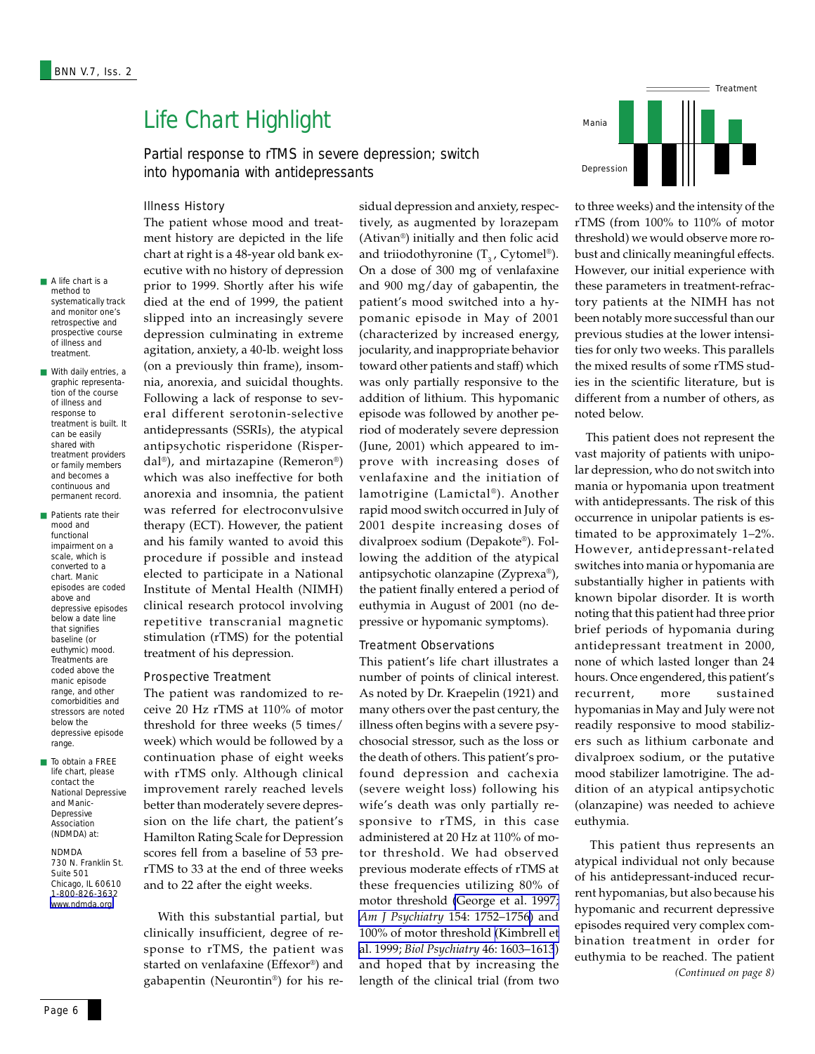# Life Chart Highlight

Partial response to rTMS in severe depression; switch into hypomania with antidepressants

### Illness History

■ A life chart is a method to systematically track and monitor one's retrospective and prospective course of illness and treatment.

- With daily entries, a graphic representation of the course of illness and response to treatment is built. It can be easily shared with treatment providers or family members and becomes a continuous and permanent record.
- Patients rate their mood and functional impairment on a scale, which is converted to a chart. Manic episodes are coded above and depressive episodes below a date line that signifies baseline (or euthymic) mood. Treatments are coded above the manic episode range, and other comorbidities and stressors are noted below the depressive episode range.
- To obtain a FREE life chart, please contact the National Depressive and Manic-Depressive Association (NDMDA) at:

### NDMDA

730 N. Franklin St. Suite 501 Chicago, IL 60610 1-800-826-3632 [www.ndmda.org](http://www.ndmda.org/) 

The patient whose mood and treatment history are depicted in the life chart at right is a 48-year old bank executive with no history of depression prior to 1999. Shortly after his wife died at the end of 1999, the patient slipped into an increasingly severe depression culminating in extreme agitation, anxiety, a 40-lb. weight loss (on a previously thin frame), insomnia, anorexia, and suicidal thoughts. Following a lack of response to several different serotonin-selective antidepressants (SSRIs), the atypical antipsychotic risperidone (Risperdal®), and mirtazapine (Remeron®) which was also ineffective for both anorexia and insomnia, the patient was referred for electroconvulsive therapy (ECT). However, the patient and his family wanted to avoid this procedure if possible and instead elected to participate in a National Institute of Mental Health (NIMH) clinical research protocol involving repetitive transcranial magnetic stimulation (rTMS) for the potential treatment of his depression.

### Prospective Treatment

The patient was randomized to receive 20 Hz rTMS at 110% of motor threshold for three weeks (5 times/ week) which would be followed by a continuation phase of eight weeks with rTMS only. Although clinical improvement rarely reached levels better than moderately severe depression on the life chart, the patient's Hamilton Rating Scale for Depression scores fell from a baseline of 53 prerTMS to 33 at the end of three weeks and to 22 after the eight weeks.

 With this substantial partial, but clinically insufficient, degree of response to rTMS, the patient was started on venlafaxine (Effexor®) and gabapentin (Neurontin®) for his residual depression and anxiety, respectively, as augmented by lorazepam (Ativan®) initially and then folic acid and triiodothyronine  $(T_3, Cytomel^{\circledast})$ . On a dose of 300 mg of venlafaxine and 900 mg/day of gabapentin, the patient's mood switched into a hypomanic episode in May of 2001 (characterized by increased energy, jocularity, and inappropriate behavior toward other patients and staff) which was only partially responsive to the addition of lithium. This hypomanic episode was followed by another period of moderately severe depression (June, 2001) which appeared to improve with increasing doses of venlafaxine and the initiation of lamotrigine (Lamictal®). Another rapid mood switch occurred in July of 2001 despite increasing doses of divalproex sodium (Depakote®). Following the addition of the atypical antipsychotic olanzapine (Zyprexa®), the patient finally entered a period of euthymia in August of 2001 (no depressive or hypomanic symptoms).

### Treatment Observations

This patient's life chart illustrates a number of points of clinical interest. As noted by Dr. Kraepelin (1921) and many others over the past century, the illness often begins with a severe psychosocial stressor, such as the loss or the death of others. This patient's profound depression and cachexia (severe weight loss) following his wife's death was only partially responsive to rTMS, in this case administered at 20 Hz at 110% of motor threshold. We had observed previous moderate effects of rTMS at these frequencies utilizing 80% of motor threshold [\(George et al. 1997;](http://www.ncbi.nlm.nih.gov/entrez/query.fcgi?cmd=Retrieve&db=PubMed&list_uids=9396958&dopt=Abstract) *Am J Psychiatry* [154: 1752–1756](http://www.ncbi.nlm.nih.gov/entrez/query.fcgi?cmd=Retrieve&db=PubMed&list_uids=9396958&dopt=Abstract)) and 100% of motor threshold [\(Kimbrell et](http://www.ncbi.nlm.nih.gov/entrez/query.fcgi?cmd=Retrieve&db=PubMed&list_uids=10624541&dopt=Abstract) al. 1999; *[Biol Psychiatry](http://www.ncbi.nlm.nih.gov/entrez/query.fcgi?cmd=Retrieve&db=PubMed&list_uids=10624541&dopt=Abstract)* 46: 1603–1613) and hoped that by increasing the length of the clinical trial (from two



to three weeks) and the intensity of the rTMS (from 100% to 110% of motor threshold) we would observe more robust and clinically meaningful effects. However, our initial experience with these parameters in treatment-refractory patients at the NIMH has not been notably more successful than our previous studies at the lower intensities for only two weeks. This parallels the mixed results of some rTMS studies in the scientific literature, but is different from a number of others, as noted below.

 This patient does not represent the vast majority of patients with unipolar depression, who do not switch into mania or hypomania upon treatment with antidepressants. The risk of this occurrence in unipolar patients is estimated to be approximately 1–2%. However, antidepressant-related switches into mania or hypomania are substantially higher in patients with known bipolar disorder. It is worth noting that this patient had three prior brief periods of hypomania during antidepressant treatment in 2000, none of which lasted longer than 24 hours. Once engendered, this patient's recurrent, more sustained hypomanias in May and July were not readily responsive to mood stabilizers such as lithium carbonate and divalproex sodium, or the putative mood stabilizer lamotrigine. The addition of an atypical antipsychotic (olanzapine) was needed to achieve euthymia.

 This patient thus represents an atypical individual not only because of his antidepressant-induced recurrent hypomanias, but also because his hypomanic and recurrent depressive episodes required very complex combination treatment in order for euthymia to be reached. The patient *(Continued on page 8)*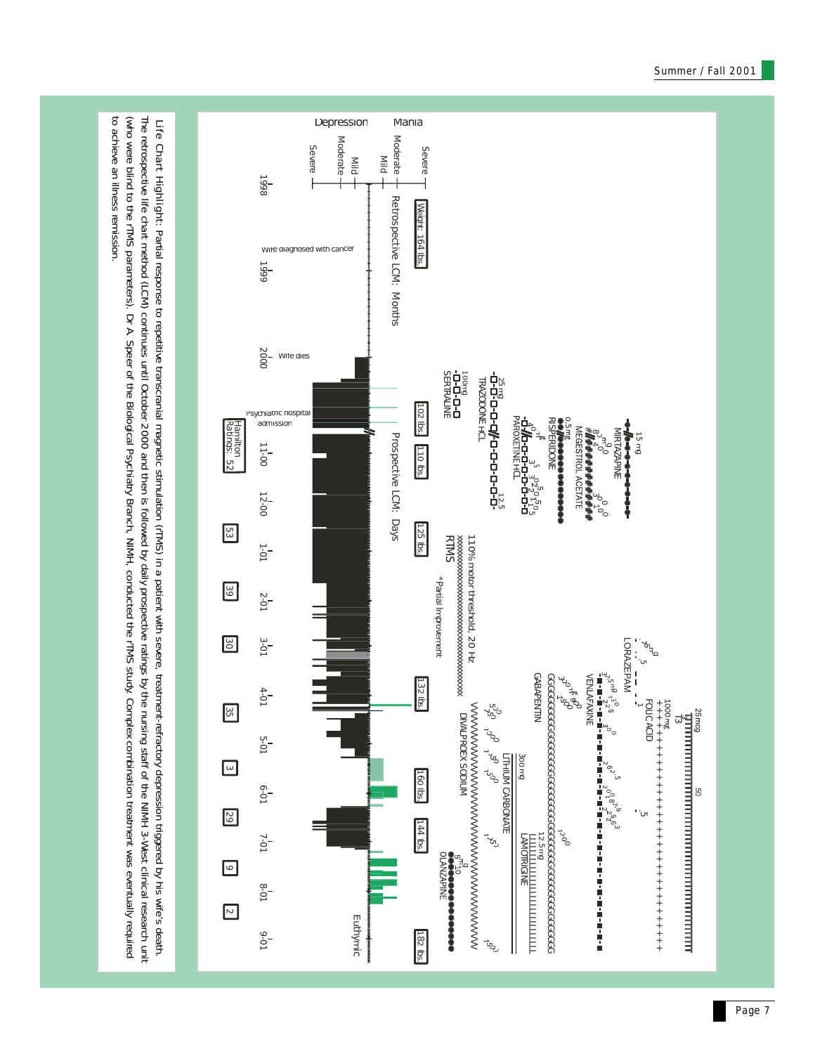

(who were blind to the rINI) profits of the Biological Psychiatry Branch, NIMH, conducted the rTMS study. Complex combination treatment was eventually required including required.

(who were blind to the rTMS parameters). Dr A. Speer of the Biological Psychiatry Branch, NIMH, conducted the rTMS study. Complex complex complex complex and were the round of the study complex complex and the round by the

to achieve an illness remission.

to achieve an illness remission.

Page 7

 $\vec{\Xi}$ ಇ $\vec{\Xi}$ 

8

++++++++++++++++++++++++++++++++++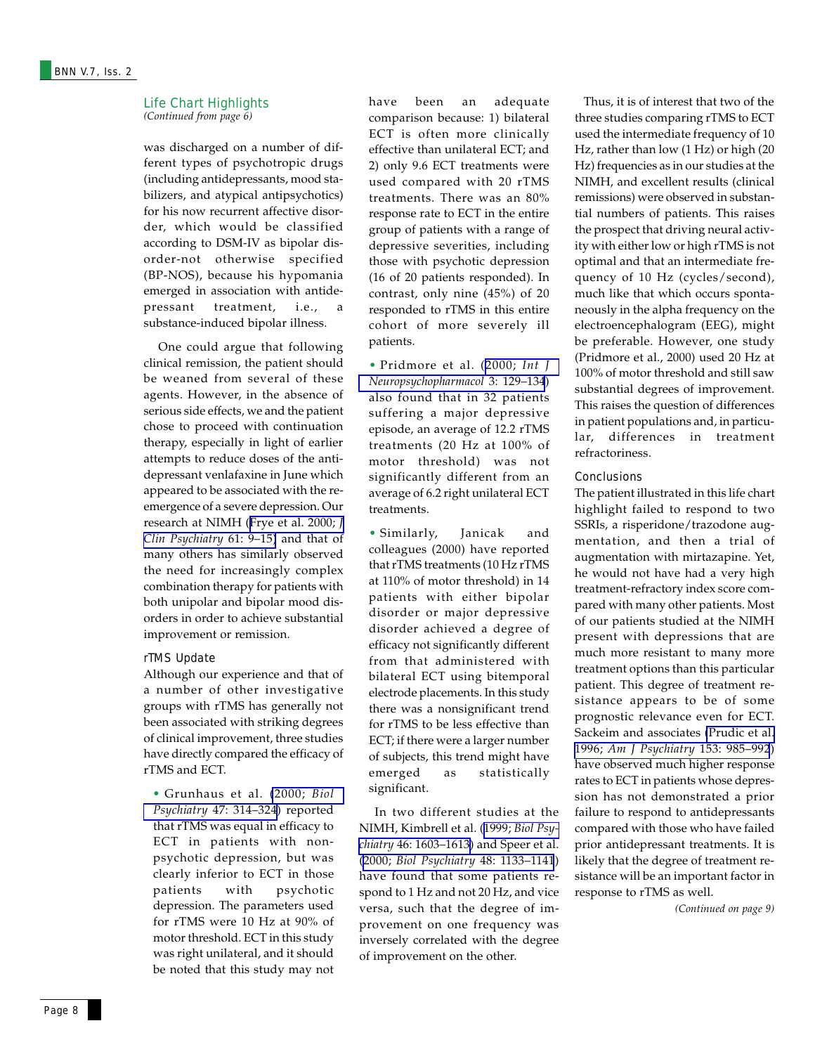### Life Chart Highlights *(Continued from page 6)*

was discharged on a number of different types of psychotropic drugs (including antidepressants, mood stabilizers, and atypical antipsychotics) for his now recurrent affective disorder, which would be classified according to DSM-IV as bipolar disorder-not otherwise specified (BP-NOS), because his hypomania emerged in association with antidepressant treatment, i.e., a substance-induced bipolar illness.

 One could argue that following clinical remission, the patient should be weaned from several of these agents. However, in the absence of serious side effects, we and the patient chose to proceed with continuation therapy, especially in light of earlier attempts to reduce doses of the antidepressant venlafaxine in June which appeared to be associated with the reemergence of a severe depression. Our research at NIMH ([Frye et al. 2000;](http://www.ncbi.nlm.nih.gov/entrez/query.fcgi?cmd=Retrieve&db=PubMed&list_uids=10695639&dopt=Abstract) *J [Clin Psychiatry](http://www.ncbi.nlm.nih.gov/entrez/query.fcgi?cmd=Retrieve&db=PubMed&list_uids=10695639&dopt=Abstract)* 61: 9–15) and that of many others has similarly observed the need for increasingly complex combination therapy for patients with both unipolar and bipolar mood disorders in order to achieve substantial improvement or remission.

### rTMS Update

Although our experience and that of a number of other investigative groups with rTMS has generally not been associated with striking degrees of clinical improvement, three studies have directly compared the efficacy of rTMS and ECT.

*•* Grunhaus et al. [\(2000;](http://www.ncbi.nlm.nih.gov/entrez/query.fcgi?cmd=Retrieve&db=PubMed&list_uids=10686266&dopt=Abstract) *Biol Psychiatry* [47: 314–324](http://www.ncbi.nlm.nih.gov/entrez/query.fcgi?cmd=Retrieve&db=PubMed&list_uids=10686266&dopt=Abstract)) reported that rTMS was equal in efficacy to ECT in patients with nonpsychotic depression, but was clearly inferior to ECT in those patients with psychotic depression. The parameters used for rTMS were 10 Hz at 90% of motor threshold. ECT in this study was right unilateral, and it should be noted that this study may not have been an adequate comparison because: 1) bilateral ECT is often more clinically effective than unilateral ECT; and 2) only 9.6 ECT treatments were used compared with 20 rTMS treatments. There was an 80% response rate to ECT in the entire group of patients with a range of depressive severities, including those with psychotic depression (16 of 20 patients responded). In contrast, only nine (45%) of 20 responded to rTMS in this entire cohort of more severely ill patients.

• Pridmore et al. ([2000;](http://www.ncbi.nlm.nih.gov/entrez/query.fcgi?cmd=Retrieve&db=PubMed&list_uids=11343589&dopt=Abstract) *Int J [Neuropsychopharmacol](http://www.ncbi.nlm.nih.gov/entrez/query.fcgi?cmd=Retrieve&db=PubMed&list_uids=11343589&dopt=Abstract)* 3: 129–134) also found that in 32 patients suffering a major depressive episode, an average of 12.2 rTMS treatments (20 Hz at 100% of motor threshold) was not significantly different from an average of 6.2 right unilateral ECT treatments.

• Similarly, Janicak and colleagues (2000) have reported that rTMS treatments (10 Hz rTMS at 110% of motor threshold) in 14 patients with either bipolar disorder or major depressive disorder achieved a degree of efficacy not significantly different from that administered with bilateral ECT using bitemporal electrode placements. In this study there was a nonsignificant trend for rTMS to be less effective than ECT; if there were a larger number of subjects, this trend might have emerged as statistically significant.

 In two different studies at the NIMH, Kimbrell et al. (1999; *[Biol Psy](http://www.ncbi.nlm.nih.gov/entrez/query.fcgi?cmd=Retrieve&db=PubMed&list_uids=10624541&dopt=Abstract)chiatry* [46: 1603–1613](http://www.ncbi.nlm.nih.gov/entrez/query.fcgi?cmd=Retrieve&db=PubMed&list_uids=10624541&dopt=Abstract)) and Speer et al. (2000; *[Biol Psychiatry](http://www.ncbi.nlm.nih.gov/entrez/query.fcgi?cmd=Retrieve&db=PubMed&list_uids=11137053&dopt=Abstract)* 48: 1133–1141) have found that some patients respond to 1 Hz and not 20 Hz, and vice versa, such that the degree of improvement on one frequency was inversely correlated with the degree of improvement on the other.

 Thus, it is of interest that two of the three studies comparing rTMS to ECT used the intermediate frequency of 10 Hz, rather than low (1 Hz) or high (20 Hz) frequencies as in our studies at the NIMH, and excellent results (clinical remissions) were observed in substantial numbers of patients. This raises the prospect that driving neural activity with either low or high rTMS is not optimal and that an intermediate frequency of 10 Hz (cycles/second), much like that which occurs spontaneously in the alpha frequency on the electroencephalogram (EEG), might be preferable. However, one study (Pridmore et al., 2000) used 20 Hz at 100% of motor threshold and still saw substantial degrees of improvement. This raises the question of differences in patient populations and, in particular, differences in treatment refractoriness.

### **Conclusions**

The patient illustrated in this life chart highlight failed to respond to two SSRIs, a risperidone/trazodone augmentation, and then a trial of augmentation with mirtazapine. Yet, he would not have had a very high treatment-refractory index score compared with many other patients. Most of our patients studied at the NIMH present with depressions that are much more resistant to many more treatment options than this particular patient. This degree of treatment resistance appears to be of some prognostic relevance even for ECT. Sackeim and associates [\(Prudic et al.](http://www.ncbi.nlm.nih.gov/entrez/query.fcgi?cmd=Retrieve&db=PubMed&list_uids=8678194&dopt=Abstract) 1996; *[Am J Psychiatry](http://www.ncbi.nlm.nih.gov/entrez/query.fcgi?cmd=Retrieve&db=PubMed&list_uids=8678194&dopt=Abstract)* 153: 985–992) have observed much higher response rates to ECT in patients whose depression has not demonstrated a prior failure to respond to antidepressants compared with those who have failed prior antidepressant treatments. It is likely that the degree of treatment resistance will be an important factor in response to rTMS as well.

*(Continued on page 9)*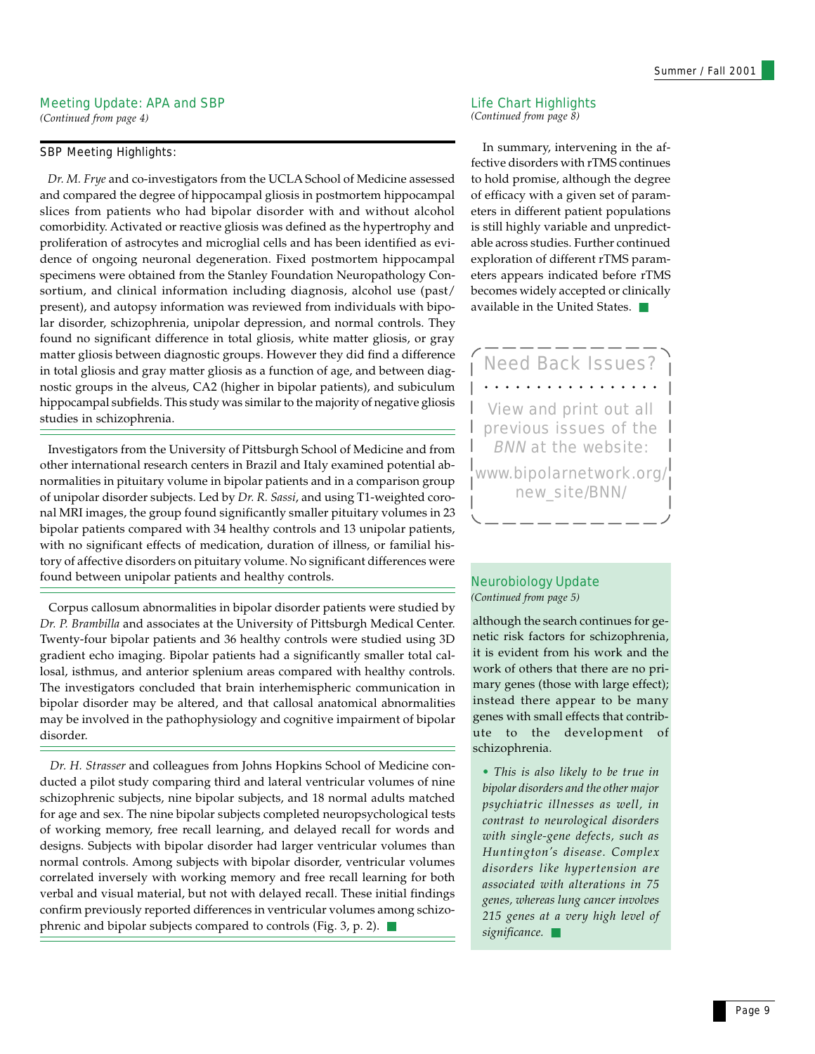### Meeting Update: APA and SBP

*(Continued from page 4)*

### SBP Meeting Highlights:

 *Dr. M. Frye* and co-investigators from the UCLA School of Medicine assessed and compared the degree of hippocampal gliosis in postmortem hippocampal slices from patients who had bipolar disorder with and without alcohol comorbidity. Activated or reactive gliosis was defined as the hypertrophy and proliferation of astrocytes and microglial cells and has been identified as evidence of ongoing neuronal degeneration. Fixed postmortem hippocampal specimens were obtained from the Stanley Foundation Neuropathology Consortium, and clinical information including diagnosis, alcohol use (past/ present), and autopsy information was reviewed from individuals with bipolar disorder, schizophrenia, unipolar depression, and normal controls. They found no significant difference in total gliosis, white matter gliosis, or gray matter gliosis between diagnostic groups. However they did find a difference in total gliosis and gray matter gliosis as a function of age, and between diagnostic groups in the alveus, CA2 (higher in bipolar patients), and subiculum hippocampal subfields. This study was similar to the majority of negative gliosis studies in schizophrenia.

 Investigators from the University of Pittsburgh School of Medicine and from other international research centers in Brazil and Italy examined potential abnormalities in pituitary volume in bipolar patients and in a comparison group of unipolar disorder subjects. Led by *Dr. R. Sassi*, and using T1-weighted coronal MRI images, the group found significantly smaller pituitary volumes in 23 bipolar patients compared with 34 healthy controls and 13 unipolar patients, with no significant effects of medication, duration of illness, or familial history of affective disorders on pituitary volume. No significant differences were found between unipolar patients and healthy controls.

Corpus callosum abnormalities in bipolar disorder patients were studied by *Dr. P. Brambilla* and associates at the University of Pittsburgh Medical Center. Twenty-four bipolar patients and 36 healthy controls were studied using 3D gradient echo imaging. Bipolar patients had a significantly smaller total callosal, isthmus, and anterior splenium areas compared with healthy controls. The investigators concluded that brain interhemispheric communication in bipolar disorder may be altered, and that callosal anatomical abnormalities may be involved in the pathophysiology and cognitive impairment of bipolar disorder.

 *Dr. H. Strasser* and colleagues from Johns Hopkins School of Medicine conducted a pilot study comparing third and lateral ventricular volumes of nine schizophrenic subjects, nine bipolar subjects, and 18 normal adults matched for age and sex. The nine bipolar subjects completed neuropsychological tests of working memory, free recall learning, and delayed recall for words and designs. Subjects with bipolar disorder had larger ventricular volumes than normal controls. Among subjects with bipolar disorder, ventricular volumes correlated inversely with working memory and free recall learning for both verbal and visual material, but not with delayed recall. These initial findings confirm previously reported differences in ventricular volumes among schizophrenic and bipolar subjects compared to controls (Fig. 3, p. 2). ■

### Life Chart Highlights *(Continued from page 8)*

 In summary, intervening in the affective disorders with rTMS continues to hold promise, although the degree of efficacy with a given set of parameters in different patient populations is still highly variable and unpredictable across studies. Further continued exploration of different rTMS parameters appears indicated before rTMS becomes widely accepted or clinically available in the United States. ■



### Neurobiology Update *(Continued from page 5)*

although the search continues for genetic risk factors for schizophrenia, it is evident from his work and the work of others that there are no primary genes (those with large effect); instead there appear to be many genes with small effects that contribute to the development of schizophrenia.

*• This is also likely to be true in bipolar disorders and the other major psychiatric illnesses as well, in contrast to neurological disorders with single-gene defects, such as Huntington's disease. Complex disorders like hypertension are associated with alterations in 75 genes, whereas lung cancer involves 215 genes at a very high level of significance.* ■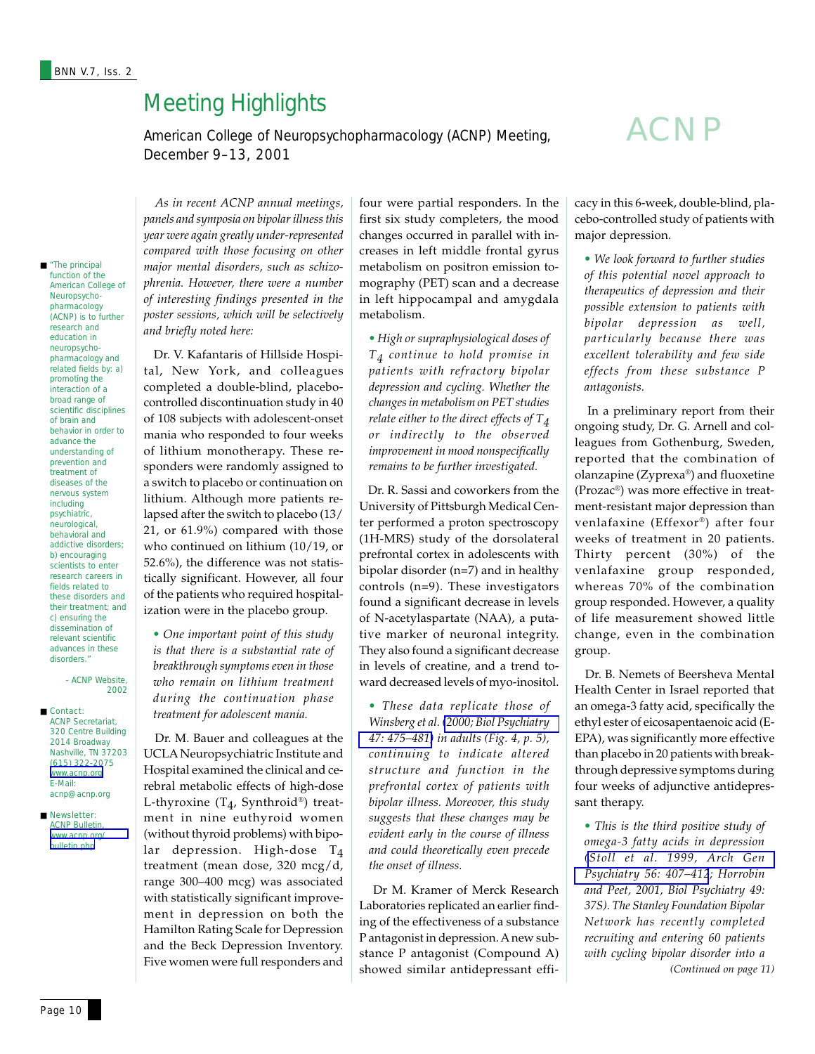# Meeting Highlights

American College of Neuropsychopharmacology (ACNP) Meeting, December 9–13, 2001

# ACNP

■ "The principal function of the American College of Neuropsychopharmacology (ACNP) is to further research and education in neuropsychopharmacology and related fields by: a) promoting the interaction of a broad range of scientific disciplines of brain and behavior in order to advance the understanding of prevention and treatment of diseases of the nervous system including psychiatric, neurological, behavioral and addictive disorders; b) encouraging scientists to enter research careers in fields related to these disorders and their treatment; and c) ensuring the dissemination of relevant scientific advances in these disorders."

> - ACNP Website, 2002

■ Contact: ACNP Secretariat, 320 Centre Building 2014 Broadway Nashville, TN 37203 (615) 322-2075 [www.acnp.org](http://www.acnp.org/) E-Mail: acnp@acnp.org

■ Newsletter: **ACNP Bulletin** [www.acnp.org/](http://www.acnp.org/bulletin.php) [bulletin.php](http://www.acnp.org/bulletin.php)

 *As in recent ACNP annual meetings, panels and symposia on bipolar illness this year were again greatly under-represented compared with those focusing on other major mental disorders, such as schizophrenia. However, there were a number of interesting findings presented in the poster sessions, which will be selectively and briefly noted here:*

 Dr. V. Kafantaris of Hillside Hospital, New York, and colleagues completed a double-blind, placebocontrolled discontinuation study in 40 of 108 subjects with adolescent-onset mania who responded to four weeks of lithium monotherapy. These responders were randomly assigned to a switch to placebo or continuation on lithium. Although more patients relapsed after the switch to placebo (13/ 21, or 61.9%) compared with those who continued on lithium (10/19, or 52.6%), the difference was not statistically significant. However, all four of the patients who required hospitalization were in the placebo group.

*• One important point of this study is that there is a substantial rate of breakthrough symptoms even in those who remain on lithium treatment during the continuation phase treatment for adolescent mania.*

 Dr. M. Bauer and colleagues at the UCLA Neuropsychiatric Institute and Hospital examined the clinical and cerebral metabolic effects of high-dose L-thyroxine (T<sub>4</sub>, Synthroid®) treatment in nine euthyroid women (without thyroid problems) with bipolar depression. High-dose T<sub>4</sub> treatment (mean dose, 320 mcg/d, range 300–400 mcg) was associated with statistically significant improvement in depression on both the Hamilton Rating Scale for Depression and the Beck Depression Inventory. Five women were full responders and

four were partial responders. In the first six study completers, the mood changes occurred in parallel with increases in left middle frontal gyrus metabolism on positron emission tomography (PET) scan and a decrease in left hippocampal and amygdala metabolism.

*• High or supraphysiological doses of T4 continue to hold promise in patients with refractory bipolar depression and cycling. Whether the changes in metabolism on PET studies relate either to the direct effects of T4 or indirectly to the observed improvement in mood nonspecifically remains to be further investigated.*

 Dr. R. Sassi and coworkers from the University of Pittsburgh Medical Center performed a proton spectroscopy (1H-MRS) study of the dorsolateral prefrontal cortex in adolescents with bipolar disorder (n=7) and in healthy controls (n=9). These investigators found a significant decrease in levels of N-acetylaspartate (NAA), a putative marker of neuronal integrity. They also found a significant decrease in levels of creatine, and a trend toward decreased levels of myo-inositol.

*• These data replicate those of Winsberg et al. [\(2000; Biol Psychiatry](http://www.ncbi.nlm.nih.gov/entrez/query.fcgi?cmd=Retrieve&db=PubMed&list_uids=10715353&dopt=Abstract) [47: 475–481\)](http://www.ncbi.nlm.nih.gov/entrez/query.fcgi?cmd=Retrieve&db=PubMed&list_uids=10715353&dopt=Abstract) in adults (Fig. 4, p. 5), continuing to indicate altered structure and function in the prefrontal cortex of patients with bipolar illness. Moreover, this study suggests that these changes may be evident early in the course of illness and could theoretically even precede the onset of illness.*

 Dr M. Kramer of Merck Research Laboratories replicated an earlier finding of the effectiveness of a substance P antagonist in depression. A new substance P antagonist (Compound A) showed similar antidepressant efficacy in this 6-week, double-blind, placebo-controlled study of patients with major depression.

*• We look forward to further studies of this potential novel approach to therapeutics of depression and their possible extension to patients with bipolar depression as well, particularly because there was excellent tolerability and few side effects from these substance P antagonists.*

 In a preliminary report from their ongoing study, Dr. G. Arnell and colleagues from Gothenburg, Sweden, reported that the combination of olanzapine (Zyprexa®) and fluoxetine (Prozac®) was more effective in treatment-resistant major depression than venlafaxine (Effexor®) after four weeks of treatment in 20 patients. Thirty percent (30%) of the venlafaxine group responded, whereas 70% of the combination group responded. However, a quality of life measurement showed little change, even in the combination group.

 Dr. B. Nemets of Beersheva Mental Health Center in Israel reported that an omega-3 fatty acid, specifically the ethyl ester of eicosapentaenoic acid (E-EPA), was significantly more effective than placebo in 20 patients with breakthrough depressive symptoms during four weeks of adjunctive antidepressant therapy.

*(Continued on page 11) • This is the third positive study of omega-3 fatty acids in depression [\(Stoll et al. 1999, Arch Gen](http://www.ncbi.nlm.nih.gov/entrez/query.fcgi?cmd=Retrieve&db=PubMed&list_uids=10232294&dopt=Abstract) [Psychiatry 56: 407–412](http://www.ncbi.nlm.nih.gov/entrez/query.fcgi?cmd=Retrieve&db=PubMed&list_uids=10232294&dopt=Abstract); Horrobin and Peet, 2001, Biol Psychiatry 49: 37S). The Stanley Foundation Bipolar Network has recently completed recruiting and entering 60 patients with cycling bipolar disorder into a*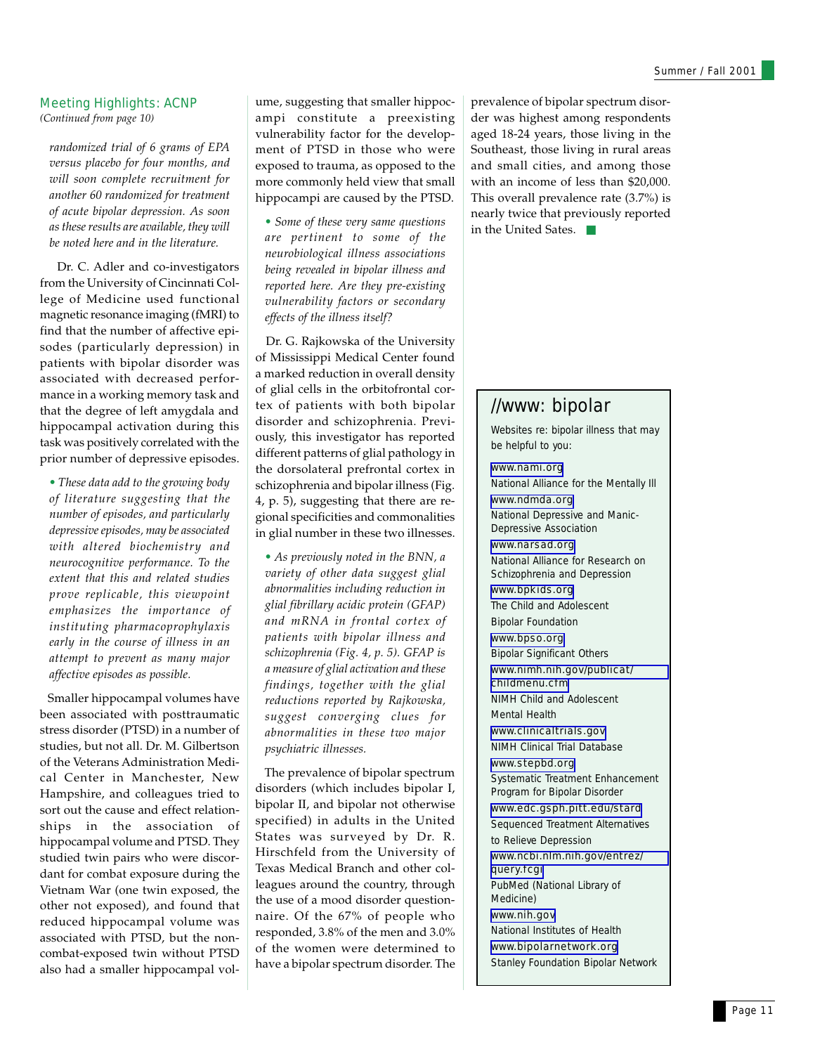### Meeting Highlights: ACNP

*(Continued from page 10)*

*randomized trial of 6 grams of EPA versus placebo for four months, and will soon complete recruitment for another 60 randomized for treatment of acute bipolar depression. As soon as these results are available, they will be noted here and in the literature.*

 Dr. C. Adler and co-investigators from the University of Cincinnati College of Medicine used functional magnetic resonance imaging (fMRI) to find that the number of affective episodes (particularly depression) in patients with bipolar disorder was associated with decreased performance in a working memory task and that the degree of left amygdala and hippocampal activation during this task was positively correlated with the prior number of depressive episodes.

*• These data add to the growing body of literature suggesting that the number of episodes, and particularly depressive episodes, may be associated with altered biochemistry and neurocognitive performance. To the extent that this and related studies prove replicable, this viewpoint emphasizes the importance of instituting pharmacoprophylaxis early in the course of illness in an attempt to prevent as many major affective episodes as possible.*

 Smaller hippocampal volumes have been associated with posttraumatic stress disorder (PTSD) in a number of studies, but not all. Dr. M. Gilbertson of the Veterans Administration Medical Center in Manchester, New Hampshire, and colleagues tried to sort out the cause and effect relationships in the association of hippocampal volume and PTSD. They studied twin pairs who were discordant for combat exposure during the Vietnam War (one twin exposed, the other not exposed), and found that reduced hippocampal volume was associated with PTSD, but the noncombat-exposed twin without PTSD also had a smaller hippocampal vol-

ume, suggesting that smaller hippocampi constitute a preexisting vulnerability factor for the development of PTSD in those who were exposed to trauma, as opposed to the more commonly held view that small hippocampi are caused by the PTSD.

*• Some of these very same questions are pertinent to some of the neurobiological illness associations being revealed in bipolar illness and reported here. Are they pre-existing vulnerability factors or secondary effects of the illness itself?*

 Dr. G. Rajkowska of the University of Mississippi Medical Center found a marked reduction in overall density of glial cells in the orbitofrontal cortex of patients with both bipolar disorder and schizophrenia. Previously, this investigator has reported different patterns of glial pathology in the dorsolateral prefrontal cortex in schizophrenia and bipolar illness (Fig. 4, p. 5), suggesting that there are regional specificities and commonalities in glial number in these two illnesses.

*• As previously noted in the BNN, a variety of other data suggest glial abnormalities including reduction in glial fibrillary acidic protein (GFAP) and mRNA in frontal cortex of patients with bipolar illness and schizophrenia (Fig. 4, p. 5). GFAP is a measure of glial activation and these findings, together with the glial reductions reported by Rajkowska, suggest converging clues for abnormalities in these two major psychiatric illnesses.*

 The prevalence of bipolar spectrum disorders (which includes bipolar I, bipolar II, and bipolar not otherwise specified) in adults in the United States was surveyed by Dr. R. Hirschfeld from the University of Texas Medical Branch and other colleagues around the country, through the use of a mood disorder questionnaire. Of the 67% of people who responded, 3.8% of the men and 3.0% of the women were determined to have a bipolar spectrum disorder. The

prevalence of bipolar spectrum disorder was highest among respondents aged 18-24 years, those living in the Southeast, those living in rural areas and small cities, and among those with an income of less than \$20,000. This overall prevalence rate (3.7%) is nearly twice that previously reported in the United Sates. ■

### //www: bipolar

Websites re: bipolar illness that may be helpful to you:

### [www.nami.org](http://www.nami.org/)

National Alliance for the Mentally Ill [www.ndmda.org](http://www.ndmda.org/)

National Depressive and Manic-Depressive Association

[www.narsad.org](http://www.mhsource.com/narsad/) National Alliance for Research on Schizophrenia and Depression

[www.bpkids.org](http://www.bpkids.org/) The Child and Adolescent Bipolar Foundation

[www.bpso.org](http://www.bpso.org/)

Bipolar Significant Others [www.nimh.nih.gov/publicat/](http://www.nimh.nih.gov/publicat/childmenu.cfm) [childmenu.cfm](http://www.nimh.nih.gov/publicat/childmenu.cfm) NIMH Child and Adolescent

Mental Health

[www.clinicaltrials.gov](http://www.clinicaltrials.gov/) NIMH Clinical Trial Database

[www.stepbd.org](http://www.stepbd.org/)

Systematic Treatment Enhancement Program for Bipolar Disorder

[www.edc.gsph.pitt.edu/stard](http://www.edc.gsph.pitt.edu/stard/) Sequenced Treatment Alternatives to Relieve Depression

[www.ncbi.nlm.nih.gov/entrez/](http://www.ncbi.nlm.nih.gov/entrez/query.fcgi) [query.fcgi](http://www.ncbi.nlm.nih.gov/entrez/query.fcgi)

PubMed (National Library of Medicine)

[www.nih.gov](http://www.nih.gov/) National Institutes of Health

[www.bipolarnetwork.org](http://www.bipolarnetwork.org/) Stanley Foundation Bipolar Network